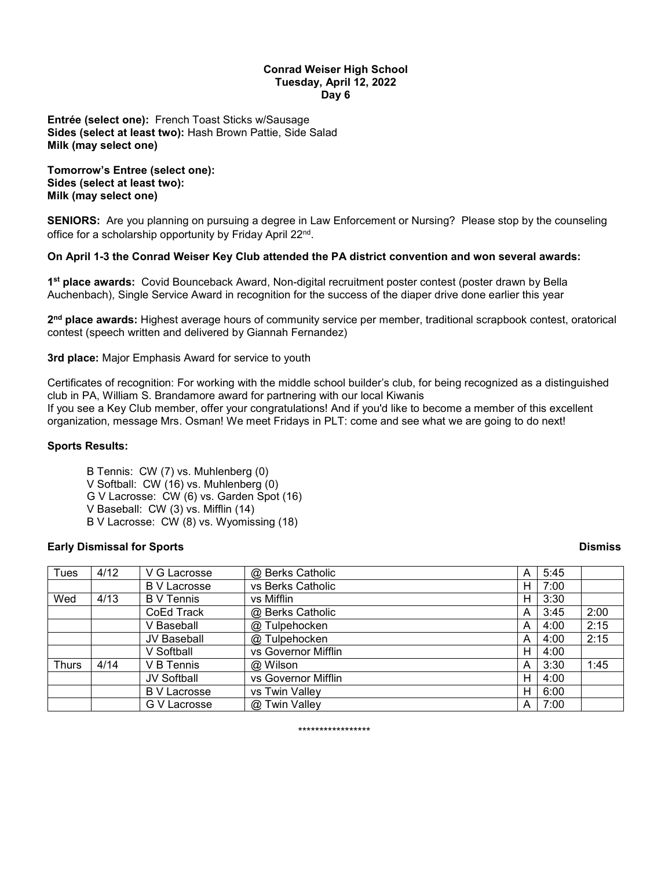#### **Conrad Weiser High School Tuesday, April 12, 2022 Day 6**

**Entrée (select one):** French Toast Sticks w/Sausage **Sides (select at least two):** Hash Brown Pattie, Side Salad **Milk (may select one)**

**Tomorrow's Entree (select one): Sides (select at least two): Milk (may select one)**

**SENIORS:** Are you planning on pursuing a degree in Law Enforcement or Nursing? Please stop by the counseling office for a scholarship opportunity by Friday April 22<sup>nd</sup>.

# **On April 1-3 the Conrad Weiser Key Club attended the PA district convention and won several awards:**

**1st place awards:** Covid Bounceback Award, Non-digital recruitment poster contest (poster drawn by Bella Auchenbach), Single Service Award in recognition for the success of the diaper drive done earlier this year

**2nd place awards:** Highest average hours of community service per member, traditional scrapbook contest, oratorical contest (speech written and delivered by Giannah Fernandez)

**3rd place:** Major Emphasis Award for service to youth

Certificates of recognition: For working with the middle school builder's club, for being recognized as a distinguished club in PA, William S. Brandamore award for partnering with our local Kiwanis If you see a Key Club member, offer your congratulations! And if you'd like to become a member of this excellent organization, message Mrs. Osman! We meet Fridays in PLT: come and see what we are going to do next!

# **Sports Results:**

B Tennis: CW (7) vs. Muhlenberg (0) V Softball: CW (16) vs. Muhlenberg (0) G V Lacrosse: CW (6) vs. Garden Spot (16) V Baseball: CW (3) vs. Mifflin (14) B V Lacrosse: CW (8) vs. Wyomissing (18)

# **Early Dismissal for Sports Dismiss**

| Tues         | 4/12 | V G Lacrosse        | @ Berks Catholic    | Α | 5:45 |      |
|--------------|------|---------------------|---------------------|---|------|------|
|              |      | <b>B</b> V Lacrosse | vs Berks Catholic   | н | 7:00 |      |
| Wed          | 4/13 | <b>B</b> V Tennis   | vs Mifflin          | н | 3:30 |      |
|              |      | CoEd Track          | @ Berks Catholic    | A | 3:45 | 2:00 |
|              |      | V Baseball          | @ Tulpehocken       | A | 4:00 | 2:15 |
|              |      | <b>JV Baseball</b>  | @ Tulpehocken       | A | 4:00 | 2:15 |
|              |      | V Softball          | vs Governor Mifflin | н | 4:00 |      |
| <b>Thurs</b> | 4/14 | V B Tennis          | @ Wilson            | A | 3:30 | 1:45 |
|              |      | JV Softball         | vs Governor Mifflin | н | 4:00 |      |
|              |      | <b>B V Lacrosse</b> | vs Twin Valley      | н | 6:00 |      |
|              |      | G V Lacrosse        | @ Twin Valley       | А | 7:00 |      |

\*\*\*\*\*\*\*\*\*\*\*\*\*\*\*\*\*